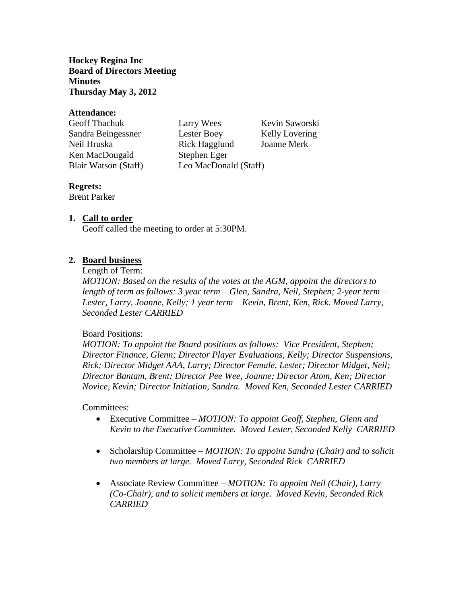**Hockey Regina Inc Board of Directors Meeting Minutes Thursday May 3, 2012**

#### **Attendance:**

| Kevin Saworski        |  |
|-----------------------|--|
| Kelly Lovering        |  |
| Joanne Merk           |  |
|                       |  |
| Leo MacDonald (Staff) |  |
|                       |  |

## **Regrets:**

Brent Parker

## **1. Call to order**

Geoff called the meeting to order at 5:30PM.

## **2. Board business**

Length of Term:

*MOTION: Based on the results of the votes at the AGM, appoint the directors to length of term as follows: 3 year term – Glen, Sandra, Neil, Stephen; 2-year term – Lester, Larry, Joanne, Kelly; 1 year term – Kevin, Brent, Ken, Rick. Moved Larry, Seconded Lester CARRIED* 

#### Board Positions:

*MOTION: To appoint the Board positions as follows: Vice President, Stephen; Director Finance, Glenn; Director Player Evaluations, Kelly; Director Suspensions, Rick; Director Midget AAA, Larry; Director Female, Lester; Director Midget, Neil; Director Bantam, Brent; Director Pee Wee, Joanne; Director Atom, Ken; Director Novice, Kevin; Director Initiation, Sandra. Moved Ken, Seconded Lester CARRIED*

#### Committees:

- Executive Committee *MOTION: To appoint Geoff, Stephen, Glenn and Kevin to the Executive Committee. Moved Lester, Seconded Kelly CARRIED*
- Scholarship Committee *MOTION: To appoint Sandra (Chair) and to solicit two members at large. Moved Larry, Seconded Rick CARRIED*
- Associate Review Committee *MOTION: To appoint Neil (Chair), Larry (Co-Chair), and to solicit members at large. Moved Kevin, Seconded Rick CARRIED*